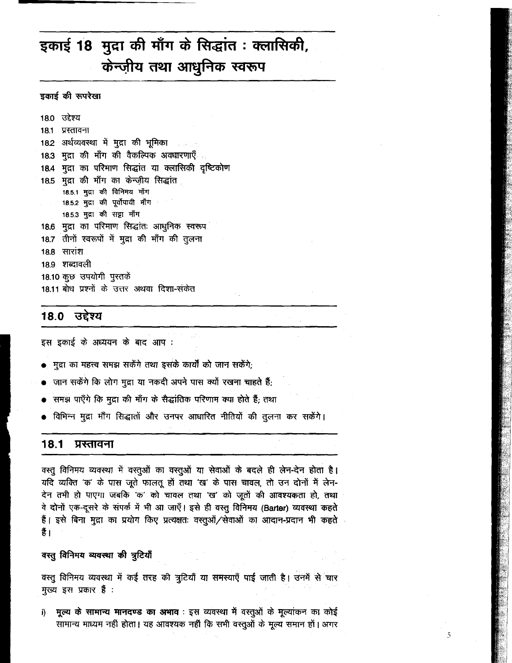# इकाई 18 मुद्रा की माँग के सिद्धांत: क्लासिकी, केन्ज़ीय तथा आधुनिक स्वरूप

## इकाई की रूपरेखा

18.0 उद्देश्य 18.1 प्रस्तावना 18.2 अर्थव्यवस्था में मुद्रा की भूमिका 18.3 मुद्रा की माँग की वैकल्पिक अवधारणाएँ 18.4 मुद्रा का परिमाण सिद्धांत या क्लासिकी दृष्टिकोण 18.5 मुद्रा की माँग का केन्ज़ीय सिद्धांत 18.5.1 मुद्रा की विनिमय माँग 18.5.2 मुद्रा की पूर्वोपायी माँग 18.5.3 मुद्रा की सट्टा माँग 18.6 मुद्रा का परिमाण सिद्धांतः आधुनिक स्वरूप 18.7 तीनों स्वरूपों में मुद्रा की माँग की तुलना 18.8 सारांश 18.9 शब्दावली 18.10 कुछ उपयोगी पुस्तकें 18.11 बोध प्रश्नों के उत्तर अथवा दिशा-संकेत

# 18.0 उद्देश्य

इस इकाई के अध्ययन के बाद आप :

- ्मुद्रा का महत्त्व समझ सकेंगे तथा इसके कार्यों को जान सकेंगे;
- जान सकेंगे कि लोग मुद्रा या नकदी अपने पास क्यों रखना चाहते हैं;
- समझ पाएँगे कि मुद्रा की माँग के सैद्धांतिक परिणाम क्या होते हैं; तथा
- विभिन्न मुद्रा माँग सिद्धातों और उनपर आधारित नीतियों की तुलना कर सकेंगे।

#### $18.1$ प्रस्तावना

वस्तु विनिमय व्यवस्था में वस्तुओं का वस्तुओं या सेवाओं के बदले ही लेन-देन होता है। यदि व्यक्ति 'क' के पास जूते फालतू हों तथा 'ख' के पास चावल, तो उन दोनों में लेन-देन तभी हो पाएगा जबकि 'क' को चावल तथा 'ख' को जूतों की आवश्यकता हो, तथा वे दोनों एक-दूसरे के संपर्क में भी आ जाएँ। इसे ही वस्तू विनिमय (Barter) व्यवस्था कहते हैं। इसे बिना मुद्रा का प्रयोग किए प्रत्यक्षतः वस्तूओं/सेवाओं का आदान-प्रदान भी कहते हैं।

वस्तु विनिमय व्यवस्था की त्रुटियाँ

वस्तु विनिमय व्यवस्था में कई तरह की त्रुटियाँ या समस्याएँ पाई जाती है। उनमें से चार मुख्य इस प्रकार **हैं** :

मूल्य के सामान्य मानदण्ड का अभाव : इस व्यवस्था में वस्तुओं के मूल्यांकन का कोई j) सामान्य माध्यम नहीं होता। यह आवश्यक नहीं कि सभी वस्तुओं के मूल्य समान हों। अगर

5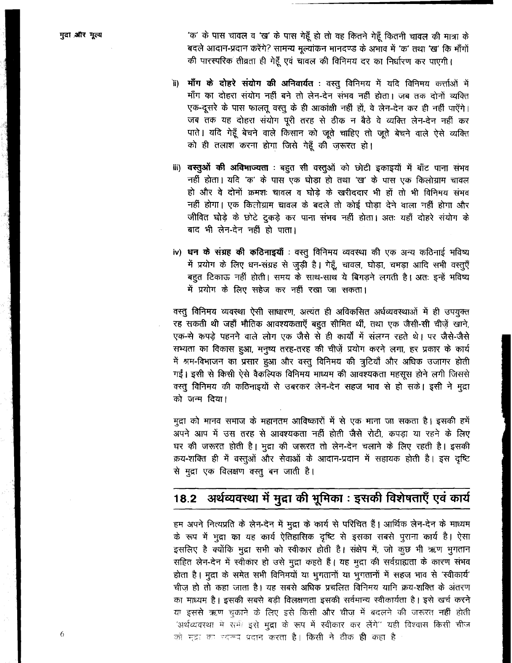'क' के पास चावल व 'ख' के पास गेहूँ हो तो वह कितने गेहूँ कितनी चावल की मात्रा के बदले आदान-प्रदान करेंगे? सामन्य मूल्यांकन मानदण्ड के अभाव में 'क' तथा 'ख' कि माँगों की पारस्परिक तीव्रता ही गेहूँ एवं चावल की विनिमय दर का निर्धारण कर पाएगी।

- ii) **माँग के दोहरे संयोग की अनिवार्यत**: वस्तु विनिमय में यदि विनिमय कर्त्ताओं में माँग का दोहरा संयोग नहीं बने तो लेन-देन संभव नहीं होता। जब तक दोनों व्यक्ति एक-दूसरे के पास फालतू वस्तू के ही आकांक्षी नहीं हों, वे लेन-देन कर ही नहीं पाएँगे। जब तक यह दोहरा संयोग परी तरह से ठीक न बैठे वे व्यक्ति लेन-देन नहीं कर पाते। यदि गेहूँ बेचने वाले किसान को जूते चाहिए तो जूते बेचने वाले ऐसे व्यक्ति को ही तलाश करना होगा जिसे गेहूँ की जरूरत हो।
- iii) वस्तुओं की अविभाज्यता : बहुत सी वस्तूओं को छोटी इकाइयों में बाँट पाना संभव नहीं होता। यदि 'कू' के पास एक घोड़ा हो तथा 'ख' के पास एक किलोग्राम चावल हो और वे दोनों क्रमशः चावल व घोड़े के खरीददार भी हों तो भी विनिमय संभव नहीं होगा। एक किलोग्राम चावल के बदले तो कोई घोडा देने वाला नहीं होगा और जीवित घोड़े के छोटे ट्रकड़े कर पाना संभव नहीं होता। अतः यहाँ दोहरे संयोग के बाद भी लेन-देन नहीं हो पाता।
- iv) धन के संग्रह की कठिनाइयाँ : वस्तु विनिमय व्यवस्था की एक अन्य कठिनाई भविष्य में प्रयोग के लिए धन-संग्रह से जुड़ी है। गेहूँ, चावल, घोड़ा, चमड़ा आदि सभी वस्तुएँ बहुत टिकाऊ नहीं होती। समय के साथ-साथ ये बिगड़ने लगती है। अतः इन्हें भविष्य में प्रयोग के लिए सहेज कर नहीं रखा जा सकता।

वस्तु विनिमय व्यवस्था ऐसी साधारण, अत्यंत ही अविकसित अर्धव्यवस्थाओं में ही उपयुक्त रह सकती थी जहाँ भौतिक आवश्यकताएँ बहुत सीमित थीं, तथा एक जैसी-सी चीजें खाने. एक-से कपडे पहनने वाले लोग एक जैसे से ही कार्यों में संलग्न रहते थे। पर जैसे-जैसे सभ्यता का विकास हुआ, मनुष्य तरह-तरह की चीज़ें प्रयोग करने लगा, हर प्रकार के कार्य में श्रम-विभाजन का प्रसार हुआ और वस्तु विनिमय की त्रूटियाँ और अधिक उजागर होती गईं। इसी से किसी ऐसे वैकल्पिक विनिमय माध्यम की आवश्यकता महसूस होने लगी जिससे वस्तू विनिमय की कठिनाइयों से उबरकर लेन-देन सहज भाव से हो सके। इसी ने मुद्रा को जन्म दिया।

मुद्रा को मानव समाज के महानतम आविष्कारों में से एक माना जा सकता है। इसकी हमें अपने आप में उस तरह से आवश्यकता नहीं होती जैसे रोटी, कपड़ा या रहने के लिए घर की जरूरत होती है। मुद्रा की जरूरत तो लेन-देन चलाने के लिए रहती है। इसकी क्रय-शक्ति ही में वस्तुओं और सेवाओं के आदान-प्रदान में सहायक होती है। इस दृष्टि से मुद्रा एक विलक्षण वस्तु बन जाती है।

## अर्थव्यवस्था में मुद्रा की भूमिका : इसकी विशेषताएँ एवं कार्य 18.2

हम अपने नित्यप्रति के लेन-देन में मुद्रा के कार्य से परिचित हैं। आर्थिक लेन-देन के माध्यम के रूप में मुद्रा का यह कार्य ऐतिहासिक दृष्टि से इसका सबसे पुराना कार्य है। ऐसा इसलिए है क्योंकि मुद्रा सभी को स्वीकार होती है। संक्षेप में, जो कुछ भी ऋण भुगतान सहित लेन-देन में स्वीकार हो उसे मुद्रा कहते हैं। यह मुद्रा की सर्वग्राह्यता के कारण संभव होता है। मुद्रा के समेत सभी विनिमयों या भूगतानों या भूगतानों में सहज भाव से 'स्वीकार्य' चीज हो तो कहा जाता है। यह सबसे अधिक प्रचलित विनिमय यानि क्रय-शक्ति के अंतरण का माध्यम है। इसकी सबसे बड़ी विलक्षणता इसकी सर्वमान्य स्वीकार्यता है। इसे खर्च करने या इससे ऋण चुकाने के लिए इसे किसी और चीज में बदलने की जरूरत नहीं होती 'अर्थव्यवस्था में सभी इसे **मुद्रा** के रूप में स्वीकार कर लेंगे'' यही विश्वास किसी चीज को मुद्रा का स्वरूप प्रदान करता है। किसी ने ठीक ही कहा है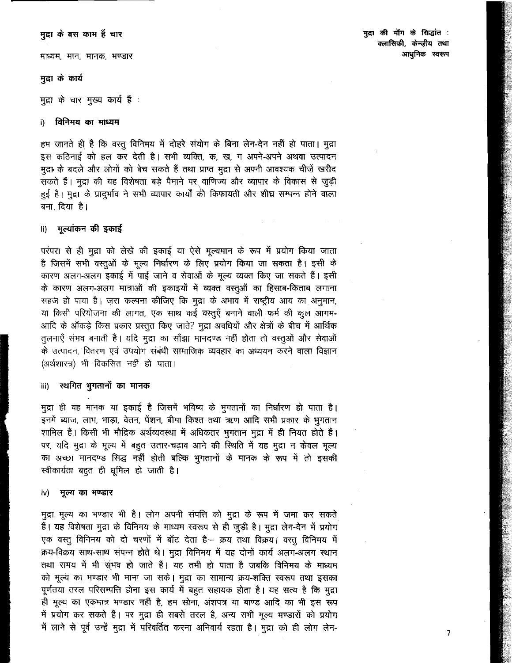मद्रा के बस काम हैं चार

माध्यम, मान, मानक, भण्डार

## मुद्रा के कार्य

मुद्रा के चार मुख्य कार्य हैं :

#### विनिमय का माध्यम i)

हम जानते ही हैं कि वस्तू विनिमय में दोहरे संयोग के बिना लेन-देन नहीं हो पाता। मुद्रा इस कठिनाई को हल कर देती है। सभी व्यक्ति, क, ख, ग अपने-अपने अथवा उत्पादन मुद्र1 के बदले और लोगों को बेच सकते हैं तथा प्राप्त मुद्रा से अपनी आवश्यक चीज़ें खरीद सकते हैं। मुद्रा की यह विशेषता बड़े पैमाने पर वाणिज्य और व्यापार के विकास से जुड़ी हुई है। मुद्रा के प्रादर्भाव ने सभी व्यापार कार्यों की किफायती और शीघ्र सम्पन्न होने वाला बना दिया है।

# ii) मुल्यांकन की इकाई

परंपरा से ही मुद्रा को लेखे की इकाई या ऐसे मूल्यमान के रूप में प्रयोग किया जाता है जिसमें सभी वस्तुओं के मूल्य निर्धारण के लिए प्रयोग किया जा सकता है। इसी के कारण अलग-अलग इकाई में पाई जाने व सेवाओं के मूल्य व्यक्त किए जा सकते हैं। इसी के कारण अलग-अलग मात्राओं की इकाइयों में व्यक्त वस्तुओं का हिसाब-किताब लगाना सहज हो पाया है। ज़रा कल्पना कीजिए कि मुद्रा के अभाव में राष्ट्रीय आय का अनुमान, या किसी परियोजना की लागत, एक साथ कई वस्तुएँ बनाने वाली फर्म की कूल आगम-आदि के ऑकड़े किस प्रकार प्रस्तुत किए जाते? मुद्रा अवधियों और क्षेत्रों के बीच में आर्थिक तुलनाएँ संभव बनाती हैं। यदि मुद्रा का साँझा मानदण्ड नहीं होता तो वस्तुओं और सेवाओं के उत्पादन, वितरण एवं उपयोग संबंधी सामाजिक व्यवहार का अध्ययन करने वाला विज्ञान (अर्थशास्त्र) भी विकसित नहीं हो पाता।

#### स्थगित भुगतानों का मानक iii)

मुद्रा ही वह मानक या इकाई है जिसमें भविष्य के भुगतानों का निर्धारण हो पाता है। इनमें ब्याज, लाभ, भाड़ा, वेतन, पेंशन, बीमा किश्त तथा ऋण आदि सभी प्रकार के भूगतान शामिल हैं। किसी भी मौद्रिक अर्थव्यवस्था में अधिकतर भुगतान मुद्रा में ही नियत होते हैं। पर, यदि मुद्रा के मूल्य में बहुत उतार-चढ़ाव आने की स्थिति में यह मुद्रा न केवल मूल्य का अच्छा मानदण्ड सिद्ध नहीं होती बल्कि भूगतानों के मानक के रूप में तो इसकी स्वीकार्यता बहुत ही धूमिल हो जाती है।

#### मूल्य का भण्डार iv)

मुद्रा मूल्य का भण्डार भी है। लोग अपनी संपत्ति को मुद्रा के रूप में जमा कर सकते हैं। यह विशेषता मुद्रा के विनिमय के माध्यम स्वरूप से ही जुड़ी है। मुद्रा लेन-देन में प्रयोग एक वस्तु विनिमय को दो चरणों में बाँट देता है- क्रय तथा विक्रय। वस्तु विनिमय में क्रय-विक्रय साथ-साथ संपन्न होते थे। मुद्रा विनिमय में यह दोनों कार्य अलग-अलग स्थान तथा समय में भी सुंभव हो जाते हैं। यह तभी हो पाता है जबकि विनिमय के माध्यम को मूल्य का भण्डार भी माना जा सके। मुद्रा का सामान्य क्रय-शक्ति स्वरूप तथा इसका पूर्णतया तरल परिसम्पत्ति होना इस कार्य में बहुत सहायक होता है। यह सत्य है कि मुद्रा ही मूल्य का एकमात्र भण्डार नहीं है, हम सोना, अंशपत्र या बाण्ड आदि का भी इस रूप में प्रयोग कर सकते हैं। पर मुद्रा ही सबसे तरल है, अन्य सभी मूल्य भण्डारों को प्रयोग में लाने से पूर्व उन्हें मुद्रा में परिवर्तित करना अनिवार्य रहता है। मुद्रा को ही लोग लेन-

 $\overline{7}$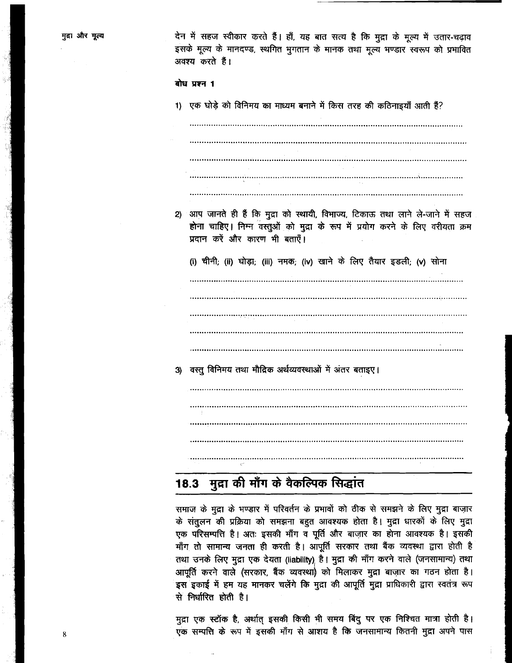देन में सहज स्वीकार करते हैं। हाँ, यह बात सत्य है कि मुद्रा के मूल्य में उतार-चढ़ाव इसके मूल्य के मानदण्ड, स्थगित भुगतान के मानक तथा मूल्य भण्डार स्वरूप को प्रभावित अवश्य करते हैं।

बोध प्रश्न 1

1) एक घोड़े को विनिमय का माध्यम बनाने में किस तरह की कठिनाइयाँ आती हैं?

ंआप जानते ही हैं कि मुद्रा को स्थायी, विभाज्य, टिकाऊ तथा लाने ले-जाने में सहज  $2)$ होना चाहिए। निम्न वस्तुओं को मुद्रा के रूप में प्रयोग करने के लिए वरीयता क्रम प्रदान करें और कारण भी बताएँ।

(i) चीनी; (ii) घोड़ा; (iii) नमक; (iv) खाने के लिए तैयार इडली; (v) सोना

वस्तु विनिमय तथा मौद्रिक अर्थव्यवस्थाओं में अंतर बताइए। 3)

### मुद्रा की माँग के वैकल्पिक सिद्धांत  $18.3$

समाज के मुद्रा के भण्डार में परिवर्तन के प्रभावों को ठीक से समझने के लिए मुद्रा बाज़ार के संतुलन की प्रक्रिया को समझना बहुत आवश्यक होता है। मुद्रा धारकों के लिए मुद्रा एक परिसम्पत्ति है। अतः इसकी माँग व पूर्ति और बाज़ार का होना आवश्यक है। इसकी माँग तो सामान्य जनता ही करती है। आपूर्ति सरकार तथा बैंक व्यवस्था द्वारा होती है तथा उनके लिए मुद्रा एक देयता (liability) है। मुद्रा की माँग करने वाले (जनसामान्य) तथा आपूर्ति करने वाले (सरकार, बैंक व्यवस्था) को मिलाकर मुद्रा बाज़ार का गठन होता है। इस इकाई में हम यह मानकर चलेंगे कि मुद्रा की आपूर्ति मुद्रा प्राधिकारी द्वारा स्वतंत्र रूप से निर्धारित होती है।

मुद्रा एक स्टॉक है, अर्थात् इसकी किसी भी समय बिंदु पर एक निश्चित मात्रा होती है। एक सम्पत्ति के रूप में इसकी माँग से आशय है कि जनसामान्य कितनी मुद्रा अपने पास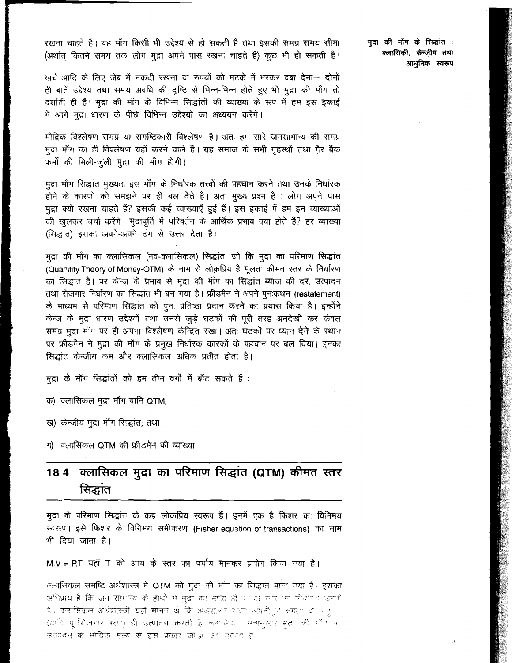रखना चाहते हैं। यह माँग किसी भी उद्देश्य से हो सकती है तथा इसकी समग्र समय सीमा (अर्थात कितने समय तक लोग मुद्रा अपने पास रखना चाहते हैं) कूछ भी हो सकती है।

खर्च आदि के लिए जेब में नकदी रखना या रुपयों को मटके में भरकर दबा देना- दोनों ही बातें उद्देश्य तथा समय अवधि की दृष्टि से भिन्न-भिन्न होते हुए भी मुद्रा की माँग तो दर्शाती ही हैं। मुद्रा की माँग के विभिन्न सिद्धांतों की व्याख्या के रूप में हम इस इकाई में आगे मुद्रा धारण के पीछे विभिन्न उद्देश्यों का अध्ययन करेंगे।

मौद्रिक विश्लेषण समग्र या समष्टिकारी विश्लेषण है। अतः हम सारे जनसामान्य की समग्र मुद्रा माँग का ही विश्लेषण यहाँ करने वाले हैं। यह समाज के सभी गृहस्थों तथा ग़ैर बैंक फर्मों की मिली-जुली मुद्रा की माँग होगी।

मूद्रा माँग सिद्धांत मुख्यतः इस माँग के निर्धारक तत्त्वों की पहचान करने तथा उनके निर्धारक होने के कारणों को समझने पर ही बल देते हैं। अतः मुख्य प्रश्न है : लोग अपने पास मुद्रा क्यों रखना चाहते हैं? इसकी कई व्याख्याएँ हुई हैं। इस इकाई में हम इन व्याख्याओं की खुलकर चर्चा करेंगे। मुद्रापूर्ति में परिवर्तन के आर्थिक प्रभाव क्या होते हैं? हर व्याख्या (सिद्धांत) इसका अपने-अपने ढंग से उत्तर देता है।

मुद्रा की माँग का क्लासिकल (नव-क्लासिकल) सिद्धांत, जो कि मुद्रा का परिमाण सिद्धांत (Quanitity Theory of Money-OTM) के नाम से लोकप्रिय है मूलत: कीमत स्तर के निर्धारण का सिद्धांत है। पर केन्ज़ के प्रभाव से मुद्रा की माँग का सिद्धांत ब्याज की दर, उत्पादन तथा रोजगार निर्धारण का सिद्धांत भी बन गया है। फ्रीडमैन ने अपने पून:कथन (restatement) के माध्यम से परिमाण सिद्धांत को पूनः प्रतिष्ठा प्रदान करने का प्रयास किया है। इन्होंने केन्ज़ के मुद्रा धारण उद्देश्यों तथा उनसे जुड़े घटकों की पूरी तरह अनदेखी कर केवल समग्र मुद्रा माँग पर ही अपना विश्लेषण केन्द्रित रखा। अतः घटकों पर ध्यान देने के स्थान पर फ्रीडमैन ने मुद्रा की माँग के प्रमुख निर्धारक कारकों के पहचान पर बल दिया। इनका सिद्धांत केन्ज़ीय कम और क्लासिकल अधिक प्रतीत होता है।

मुद्रा के माँग सिद्धांतों को हम तीन वर्गों में बाँट सकते हैं :

क) क्लासिकल मुद्रा माँग यानि QTM;

ख) केन्ज़ीय मुद्रा माँग सिद्धांत; तथा

ग) क्लासिकल QTM की फ्रीडमैन की व्याख्या

# क्लासिकल मुद्रा का परिमाण सिद्धांत (QTM) कीमत स्तर 18.4 सिद्धांत

मुद्रा के परिमाण सिद्धांत के कई लोकप्रिय स्वरूप हैं। इनमें एक है फिशर का विनिमय स्वरूप। इसे फिशर के विनिमय समीकरण (Fisher equation of transactions) का नाम भी दिया जाता है।

M.V = P.T. यहाँ T. को आय के स्तर का पर्याय मानकर प्राप्नोग किया गया है।

क्लासिकल समष्टि अर्थशास्त्र में QTM को मुद्रा की माँग का सिद्धात माना गया है। इसका अभिप्राय है कि जन सामान्य के हाथों में मुद्रा की मात्रा ही <sup>ह</sup>ात <u>मार का निर्</u>धारण करती हैं। क्लासिकल अर्थशास्त्री यही मानते थे कि अर्थशासर गता अपनीपूर्ण क्षमता यो अंतु*र*ा (यानि पूर्णरोजमार रत्य) ही उत्पावन करती है *क्लाविध*ा सतानुमार मुद्रा की माँग घो उत्पादन के मोद्रिक मूल्य से इस प्रकार जोड़ा *जा गव*ा है

मुद्रा की माँग के सिद्धांत : क्लासिकी, केन्जीय तथा आधुनिक स्वरूप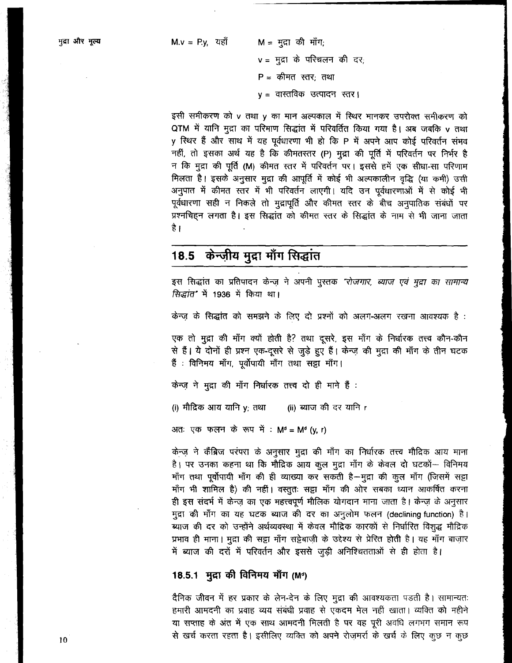$M = H\left( \overline{q} \right)$  की माँग;  $v = \frac{1}{2} \pi \vec{a}$  के परिचलन की दर;  $P = \phi H H H H H H H H H$ y = वास्तविक उत्पादन स्तर।

इसी समीकरण को v तथा y का मान अल्पकाल में स्थिर मानकर उपरोक्त समीकरण को QTM में यानि मुद्रा का परिमाण सिद्धांत में परिवर्तित किया गया है। अब जबकि v तथा y स्थिर हैं और साथ में यह पूर्वधारणा भी हो कि P में अपने आप कोई परिवर्तन संभव नहीं, तो इसका अर्थ यह है कि कीमतस्तर (P) मुद्रा की पूर्ति में परिवर्तन पर निर्भर है न कि मुद्रा की पूर्ति (M) कीमत स्तर में परिवर्तन पर। इससे हमें एक सीधा-सा परिणाम मिलता है। इसके अनुसार मुद्रा की आपूर्ति में कोई भी अल्पकालीन वृद्धि (या कमी) उसी अनुपात में कीमत स्तर में भी परिवर्तन लाएगी। यदि उन पूर्वधारणाओं में से कोई भी पूर्वधारणा सही न निकले तो मुद्रापूर्ति और कीमत स्तर के बीच अनुपातिक संबंधों पर प्रश्नचिहन लगता है। इस सिद्धांत को कीमत स्तर के सिद्धांत के नाम से भी जाना जाता है ।

### केन्ज़ीय मुद्रा माँग सिद्धांत 18.5

इस सिद्धांत का प्रतिपादन केन्ज़ ने अपनी पुस्तक "रोजगार, ब्याज एवं मुद्रा का सामान्य *सिद्धांत*" में 1936 में किया था।

केन्ज़ के सिद्धांत को समझने के लिए दो प्रश्नों को अलग-अलग रखना आवश्यक है :

एक तो मुद्रा की माँग क्यों होती है? तथा दूसरे, इस माँग के निर्धारक तत्त्व कौन-कौन से हैं। ये दोनों ही प्रश्न एक-दूसरे से जुड़े हुए हैं। केन्ज़ की मुद्रा की माँग के तीन घटक हैं : विनिमय माँग, पूर्वोपायी माँग तथा सट्टा माँग।

केन्ज़ ने मद्रा की माँग निर्धारक तत्त्व दो ही माने हैं :

(i) मौद्रिक आय यानि y; तथा (ii) ब्याज की दर यानि r

अतः एक फलन के रूप में : M<sup>d</sup> = M<sup>d</sup> (y, r)

केन्ज़ ने कैंब्रिज परंपरा के अनुसार मुद्रा की माँग का निर्धारक तत्त्व मौद्रिक आय माना है। पर उनका कहना था कि मौदिक आय कुल मुद्रा माँग के केवल दो घटकों- विनिमय माँग तथा पूर्वोपायी माँग की ही व्याख्या कर सकती है-मुद्रा की कुल माँग (जिसमें सट्टा माँग भी शामिल है) की नहीं। वस्तुतः सट्टा माँग की ओर सबका ध्यान आकर्षित करना ही इस संदर्भ में केन्ज़ का एक महत्त्वपूर्ण मौलिक योगदान माना जाता है। केन्ज़ के अनुसार मुद्रा की माँग का यह घटक ब्याज की दर का अनुलोम फलन (declining function) है। ब्याज की दर को उन्होंने अर्थव्यवस्था में केवल मौद्रिक कारकों से निर्धारित विशुद्ध मौद्रिक प्रभाव ही माना। मूदा की सट्टा माँग सट्टेबाज़ी के उद्देश्य से प्रेरित होती है। यह माँग बाज़ार में ब्याज की दरों में परिवर्तन और इससे जूड़ी अनिश्चितताओं से ही होता है।

# 18.5.1 मुद्रा की विनिमय माँग (M<sup>o</sup>)

दैनिक जीवन में हर प्रकार के लेन-देन के लिए मुद्रा की आवश्यकता पड़ती है। सामान्यतः हमारी आमदनी का प्रवाह व्यय संबंधी प्रवाह से एकदम मेल नहीं खाता। व्यक्ति को महीने या सप्ताह के अंत में एक साथ आमदनी मिलती है पर वह पूरी अवधि लगभग समान रूप से खर्च करता रहता है। इसीलिए व्यक्ति को अपने रोज़मर्रा के खर्च के लिए कुछ न कुछ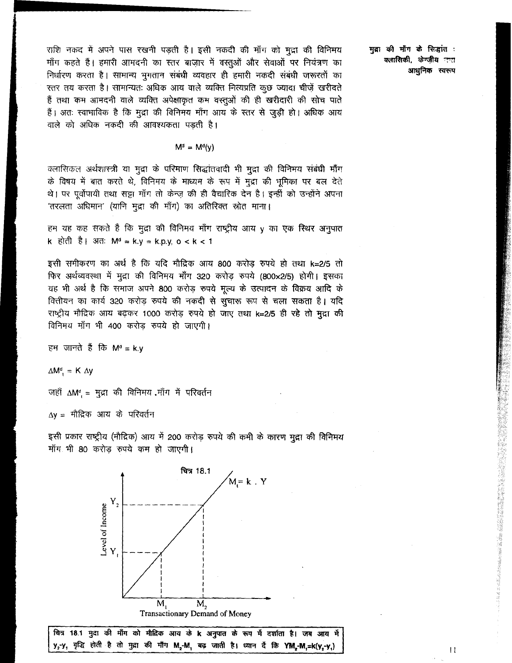राशि नकद में अपने पास रखनी पड़ती है। इसी नकदी की माँग को मुद्रा की विनिमय माँग कहते हैं। हमारी आमदनी का स्तर बाज़ार में वस्तुओं और सेवाओं पर नियंत्रण का निर्धारण करता है। सामान्य भुगतान संबंधी व्यवहार ही हमारी नकदी संबंधी जरूरतों का स्तर तय करता है। सामान्यतः अधिक आय वाले व्यक्ति नित्यप्रति कुछ ज्यादा चीज़ें खरीदते हैं तथा कम आमदनी वाले व्यक्ति अपेक्षाकृत कम वस्तुओं की ही खरीदारी की सोच पाते हैं। अतः स्वाभाविक है कि मुद्रा की विनिमय माँग आय के स्तर से जुड़ी हो। अधिक आय वाले को अधिक नकदी की आवश्यकता पड़ती है।

$$
M^d = M^d(y)
$$

क्लासिकल अर्थशास्त्री या मुद्रा के परिमाण सिद्धांतवादी भी मुद्रा की विनिमय संबंधी माँग के विषय में बात करते थे, विनिमय के माध्यम के रूप में मुद्रा की भूमिका पर बल देते थे। पर पूर्वोपायी तथा सट्टा माँग तो केन्ज़ की ही वैचारिक देन है। इन्हीं को उन्होंने अपना 'तरलता अधिमान' (यानि मूद्रा की माँग) का अतिरिक्त स्रोत माना।

हम यह कह सकते हैं कि मुद्रा की विनिमय माँग राष्ट्रीय आय y का एक स्थिर अनुपात k होती है। अतः Mª⇒k.y ⇒k.p.y, o < k < 1

इसी समीकरण का अर्थ है कि यदि मौद्रिक आय 800 करोड़ रुपये हो तथा k=2/5 तो फिर अर्थव्यवस्था में मुद्रा की विनिमय माँग 320 करोड़ रुपये (800×2/5) होगी। इसका यह भी अर्थ है कि समाज अपने 800 करोड़ रुपये मूल्य के उत्पादन के विक्रय आदि के वित्तीयन का कार्य 320 करोड़ रुपये की नकदी से सुचारू रूप से चला सकता है। यदि राष्ट्रीय मौद्रिक आय बढ़कर 1000 करोड़ रुपये हो जाए तथा k=2/5 ही रहे तो मुद्रा की विनिमय माँग भी 400 करोड रुपये हो जाएगी।

हम जानते हैं कि M<sup>a</sup> = k.y

 $\Delta M^d$  = K  $\Delta y$ 

जहाँ  $\Delta M^d = H\pi$  की विनिमय माँग में परिवर्तन

Δy = मौद्रिक आय के परिवर्तन

इसी प्रकार राष्ट्रीय (मौद्रिक) आय में 200 करोड़ रुपये की कमी के कारण मुद्रा की विनिमय माँग भी 80 करोड़ रुपये कम हो जाएगी।



चित्र 18.1 मुद्रा की माँग को मौदिक आय के k अनुपात के रूप में दर्शाता है। जब आय में y<sub>2</sub>-y, वृद्धि होती है तो मुद्रा की माँग M<sub>2</sub>-M, बढ़ जाती है। ध्यान दें कि YM,-M,=k(y,-y,)

मुद्रा की माँग के सिद्धांत : क्लासिकी, केन्ज़ीय नन्त आधुनिक स्वरूप

 $\mathbf{11}$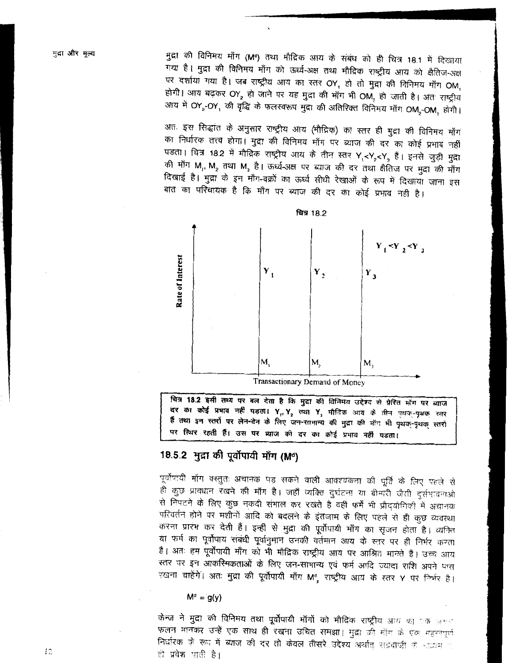मुद्रा की विनिमय माँग (Mª) तथा मौद्रिक आय के संबंध को ही चित्र 18.1 में दिखाया गया है। मुद्रा की विनिमय माँग को ऊर्ध्व-अक्ष तथा मौद्रिक राष्ट्रीय आय को क्षैतिज-अक्ष पर दर्शाया गया है। जब राष्ट्रीय आय का स्तर OY, हो तो मुद्रा की विनिमय माँग OM, होगी। आय बढ़कर OY, हो जाने पर यह मुद्रा की माँग भी OM, हो जाती है। अतः राष्ट्रीय आय में OY, OY, की वृद्धि के फलस्वरूप मुद्रा की अतिरिक्त विनिमय माँग OM, OM, होगी।

अतः इस सिद्धांत के अनुसार राष्ट्रीय आय (मौद्रिक) का स्तर ही मुद्रा की विनिमय माँग का निर्धारक तत्त्व होगा। मुद्रा की विनिमय माँग पर ब्याज की दर का कोई प्रभाव नहीं पड़ता। चित्र 18.2 में मौदिक राष्ट्रीय आय के तीन स्तर Y,<Y,<Y, हैं। इनसे जुड़ी मुद्रा की माँग M, M, तथा M, है। ऊर्ध्व-अक्ष पर ब्याज की दर तथा क्षैतिज पर मुद्रा की माँग दिखाई है। मुद्रा के इन माँग-वक्रों का ऊर्ध्व सीधी रेखाओं के रूप में दिखाया जाना इस बात का परिचायक है कि माँग पर ब्याज की दर का कोई प्रभाव नहीं है।



चित्र 18.2 इसी तथ्य पर बल देता है कि मुद्रा की विनिमय उद्देश्य से प्रेरित मॉग पर ब्याज दर का कोई प्रभाव नहीं पड़ता। Y<sub>1</sub>, Y<sub>2</sub> तथा Y<sub>3</sub> मौदिक आय के तीन पुथक्-पृथक स्तर हैं तथा इन स्तरों पर लेन-देन के लिए जन-सामान्य की मुद्रा की मॉग भी पृथक्-पृथक् स्तरों पर स्थिर रहती हैं। उस पर व्याज की दर का कोई प्रभाव नहीं पडता।

# 18.5.2 मुद्रा की पूर्वोपायी माँग (M<sup>d</sup>)

पूर्वोपायी माँग वस्तुतः अचानक पड़ सकने वाली आवश्यकता की पूर्ति के लिए पहले से ही कुछ प्रावधान रखने की माँग है। जहाँ व्यक्ति दुर्घटना या बीमारी जैसी दुर्सभावनाओ से निपटने के लिए कुछ नकदी संभाल कर रखते है वहीं फर्में भी प्रौद्योगिकी में अचानक परिवर्तन होने पर मशीनों आदि को बदलने के इंतजाम के लिए पहले से ही कुछ व्यवस्था करना प्रारंभ कर देती हैं। इन्हीं से मुद्रा की पूर्वोपायी माँग का सृजन होता है। व्यक्ति या फर्म का पूर्वोपाय संबंधी पूर्वानुमान उनकी वर्तमान आय के स्तर पर ही निर्भर करता है। अतः हम पूर्वोपायी माँग को भी मौद्रिक राष्ट्रीय आय पर आश्रित मानते हैं। उच्च आय स्तर पर इन आकस्मिकताओं के लिए जन-सामान्य एवं फर्म आदि ज्यादा राशि अपने पास रखना चाहेंगें। अतः मुद्रा की पूर्वोपायी माँग M<sup>8</sup> राष्ट्रीय आय के स्तर Y पर निर्भर है।

## $M^d = g(y)$

केन्ज ने मुद्रा की विनिमय तथा पूर्वोपायी माँगों को मौदिक राष्ट्रीय आय का एक अ<del>ध</del>न फलन मानकर उन्हें एक साथ ही रखना उचित समझा। मुद्रा की मॉम के एक महत्त्वपूर्ण निर्धारक के रूप में ब्याज की दर तो केवल तीसरे उद्देश्य अर्थात् सड़ेबाजी के नाव्यम प ही प्रवेश पाती है।

 $12$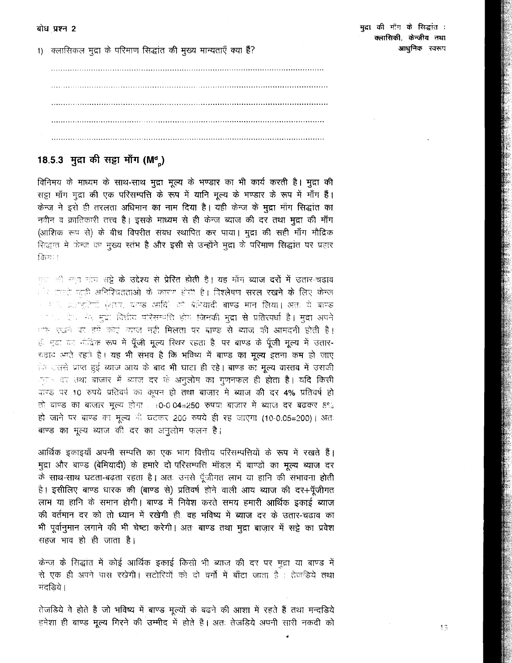1) क्लासिकल मुद्रा के परिमाण सिद्धांत की मुख्य मान्यताएँ क्या हैं?

# 18.5.3 मुद्रा की सड्डा माँग (M<sup>d</sup><sub>n</sub>)

विनिमय के माध्यम के साथ-साथ मुद्रा मूल्य के भण्डार का भी कार्य करती है। मुद्रा की सड़ा माँग मुद्रा की एक परिसम्पत्ति के रूप में यानि मूल्य के भण्डार के रूप में माँग हैं। केन्ज़ ने इसे ही तरलता अधिमान का नाम दिया है। यही केन्ज़ के मुद्रा माँग सिद्धांत का नवीन व क्रांतिकारी तत्त्व है। इसके माध्यम से ही केन्ज ब्याज की दर तथा मुद्रा की माँग (आंशिक रूप से) के बीच विपरीत संबंध स्थापित कर पाया। मुद्रा की सही माँग मौद्रिक सिद्धांत में केन्ज़ का मुख्य स्तंभ है और इसी से उन्होंने मुद्रा के परिमाण सिद्धांत पर प्रहार किया।

गल को बाद गाँव सट्टे **के उद्देश्य से प्रेरित होती है। यह** माँग **ब्याज दरों में उतार-चढ़ाव** ेर उससे पहड़ी अनिश्चितताओं के कारण होती है। विश्लेषण **सरल रखने के लिए केन्**ज े यादी प्रतिपूरिकों (अटर, दाग्ग्ड आदि) को बेनियादी बाण्ड मान लिया। अतः ये बाण्ड ा पर ऐको केर मुद्रा वित्तीय परिसम्बत्ति होये **जिनकी मुद्रा से प्रतिरफ्धी है। मुद्रा अ**पने ास रखने पर हमें कोई व्याज नहीं मिलता पर बाण्ड से ब्याज की आमदनी होती है। हैं मुद्रा का नीदिक रूप में पूँजी मूल्य स्थिर रहता है पर बाण्ड के पूँजी मूल्य में उतार-चढ़ाव अगते रहते हैं। यह भी संभव है कि भविष्य में बाण्ड का मूल्य इतना कम हो जाए ि सतसे प्राप्त हुई ब्याज आय के बाद भी घाटा ही रहे। बाण्ड का मूल्य वास्तव में उसकी ्तान दर तथा बाजार में ब्याज दर के अनुलोम का गुणनफल ही <mark>होता है। यदि किसी</mark> वाण्ड पर 10 रुपये प्रतिवर्ष का कूपन हो तथा बाज़ार में ब्याज की दर 4% प्रतिवर्ष हो तो बाण्ड का बाजार मूल्य होगा . (0-0.04=250 रुपया बाजार में ब्याज दर बढकर 5% हो जाने पर बाण्ड का मूल्य की घटकर 200 रुपये ही रह जाएगा (10-0.05=200)। अतः बाण्ड का मूल्य ब्याज की दर का अनुलोम फलन है।

आर्थिक इकाइयाँ अपनी सम्पत्ति का एक भाग वित्तीय परिसम्पत्तियों के रूप में रखते हैं। मुद्रा और बाण्ड (बेमियादी) के हमारे दो परिसम्पत्ति मॉडल में बाण्डों का मूल्य ब्याज दर के साथ-साथ घटता-बढ़ता रहता है। अतः उनसे पूँजीगत लाभ या हानि की संभावना होती है। इसीलिए बाण्ड धारक की (बाण्ड से) प्रतिवर्ष होने वाली आय ब्याज की दर+पूँजीगत लाभ या हानि के समान होगी। बाण्ड में निवेश करते समय हमारी आर्थिक इकाई ब्याज की वर्तमान दर को तो ध्यान में रखेगी ही. वह भविष्य में ब्याज दर के उतार-चढाव का भी पूर्वानुमान लगाने की भी चेष्टा करेगी। अतः बाण्ड तथा मुद्रा बाज़ार में सट्टे का प्रवेश सहज भाव हो ही जाता है।

केन्ज़ के सिद्धांत में कोई आर्थिक इकाई किसी भी ब्याज की दर पर मुद्रा या बाण्ड में से एक ही अपने पास रखेगी। सटोरियों को दो वर्गों में बाँटा जाता है : तेजहिये तथा मंदडिये।

तेजडिये वे होते हैं जो भविष्य में बाण्ड मूल्यों के बढने की आशा में रहते हैं तथा मन्दड़िये हमेशा ही बाण्ड मूल्य गिरने की उम्मीद में होते हैं। अतः तेजडिये अपनी सारी नकदी को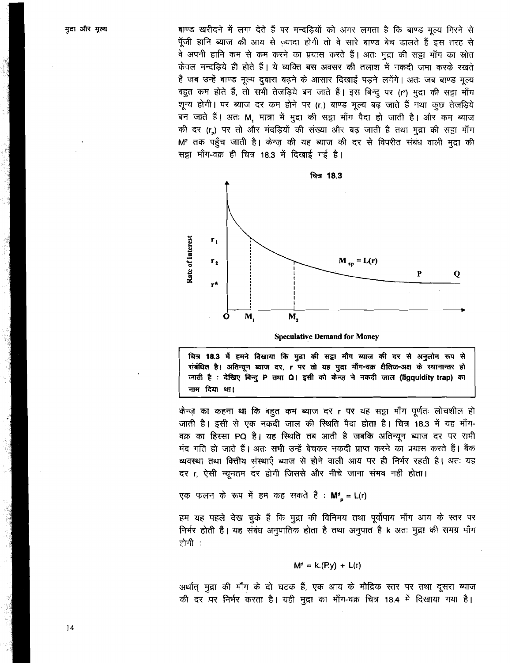बाण्ड खरीदने में लगा देते हैं पर मन्दड़ियों को अगर लगता है कि बाण्ड मूल्य गिरने से पँजी हानि ब्याज की आय से ज्यादा होगी तो वे सारे बाण्ड बेच डालते हैं इस तरह से वे अपनी हानि कम से कम करने का प्रयास करते हैं। अतः मुद्रा की सड़ा माँग का स्रोत केवल मन्दडिये ही होते हैं। ये व्यक्ति बस अवसर की तलाश में नकदी जमा करके रखते हैं जब उन्हें बाण्ड मूल्य दबारा बढने के आसार दिखाई पडने लगेंगे। अतः जब बाण्ड मल्य बहुत कम होते हैं, तो सभी तेजडिये बन जाते हैं। इस बिन्द पर (r\*) मुद्रा की सड़ा माँग शून्य होगी। पर ब्याज दर कम होने पर (r.) बाण्ड मूल्य बढ़ जाते हैं नथा कुछ तेजड़िये बन जाते हैं। अतः M, मात्रा में मुद्रा की सट्टा माँग पैदा हो जाती है। और कम ब्याज की दर (r.) पर तो और मंदडियों की संख्या और बढ़ जाती है तथा मद्रा की सड़ा माँग M<sup>2</sup> तक पहुँच जाती है। केन्ज की यह ब्याज की दर से विपरीत संबंध वाली मुद्रा की सट्टा माँग-वक्र ही चित्र 18.3 में दिखाई गई है।



**Speculative Demand for Money** 

चित्र 18.3 में हमने दिखाया कि मुद्रा की सट्टा माँग ब्याज की दर से अनुलोम रूप से संबंधित है। अतिन्यून ब्याज दर, r पर तो यह मुद्रा माँग-वक्र क्षैतिज-अक्ष के स्थानान्तर हो जाती है : देखिए बिन्दू P तथा Q। इसी को केन्ज़ ने नकदी जाल (ligquidity trap) का नाम दिया था।

केन्ज़ का कहना था कि बहुत कम ब्याज दर r पर यह सट्टा माँग पूर्णतः लोचशील हो जाती है। इसी से एक नकदी जाल की स्थिति पैदा होता है। चित्र 18.3 में यह माँग-वक्र का हिस्सा PQ है। यह स्थिति तब आती है जबकि अतिन्यून ब्याज दर पर सभी मंद गति हो जाते हैं। अतः सभी उन्हें बेचकर नकदी प्राप्त करने का प्रयास करते हैं। बैंक व्यवस्था तथा वित्तीय संस्थाएँ ब्याज से होने वाली आय पर ही निर्भर रहती है। अतः यह दर r, ऐसी न्यूनतम दर होगी जिससे और नीचे जाना संभव नहीं होता।

एक फलन के रूप में हम कह सकते हैं : Mª = L(r)

हम यह पहले देख चुके हैं कि मुद्रा की विनिमय तथा पूर्वोपाय माँग आय के स्तर पर निर्भर होती हैं। यह संबंध अनुपातिक होता है तथा अनुपात है k अतः मुद्रा की समग्र माँग होगी :

$$
M^d = k.(Py) + L(r)
$$

अर्थात् मुद्रा की माँग के दो घटक हैं, एक आय के मौद्रिक स्तर पर तथा दूसरा ब्याज की दर पर निर्भर करता है। यही मुद्रा का माँग-वक्र चित्र 18.4 में दिखाया गया है।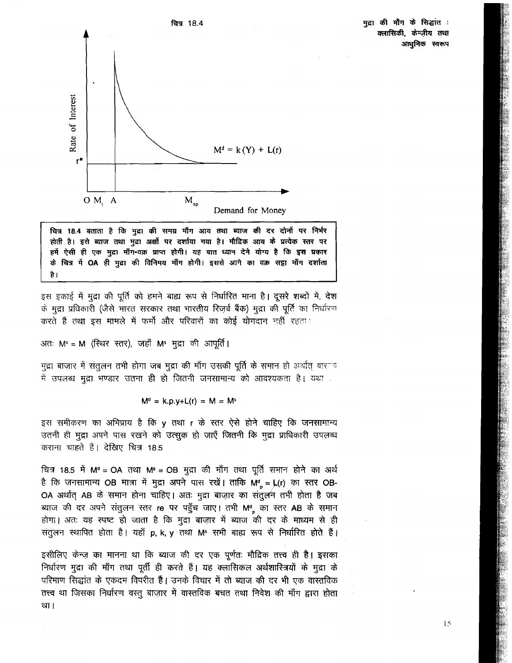मुद्रा की माँग के सिद्धांत : क्लासिकी, केन्ज़ीय तथा आधुनिक स्वरूप



चित्र 18.4 बताता है कि मुद्रा की समग्र माँग आय तथा ब्याज की दर दोनों पर निर्भर होती है। इसे ब्याज तथा मुद्रा अक्षों पर दर्शाया गया है। मौदिक आय के प्रत्येक स्तर पर हमें ऐसी ही एक मुद्रा माँग-वक्र प्राप्त होगी। यह बात ध्यान देने योग्य है कि इस प्रकार के चित्र में OA ही मुद्रा की विनिमय माँग होगी। इससे आगे का वक्र सट्टा माँग दर्शाता है।

इस इकाई में मुद्रा की पूर्ति को हमने बाह्य रूप से निर्धारित माना है। दूसरे शब्दों में, देश के मुद्रा प्रधिकारी (जैसे भारत सरकार तथा भारतीय रिज़र्व बैंक) मुद्रा की पूर्ति का निर्धारण करते हैं तथा इस मामले में फर्मों और परिवारों का कोई योगदान नहीं रहता !

अतः M<sup>s</sup> = M (स्थिर स्तर), जहाँ M<sup>s</sup> मुद्रा की आपूर्ति।

मुद्रा बाजार में संतुलन तभी होगा जब मुद्रा की माँग उसकी पूर्ति के समान हो अर्थात् वार<sup>ू</sup>ं में उपलब्ध मुद्रा भण्डार उतना ही हो जितनी जनसामान्य को आवश्यकता है। यथा .

$$
M^d = k.p.y+L(r) = M = M
$$

इस समीकरण का अभिप्राय है कि y तथा r के स्तर ऐसे होने चाहिए कि जनसामान्य उतनी ही मुद्रा अपने पास रखने को उत्सुक हो जाएँ जितनी कि मुद्रा प्राधिकारी उपलब्ध कराना चाहते हैं। देखिए चित्र 18.5

चित्र 18.5 में M<sup>d</sup> = OA तथा M<sup>s</sup> = OB मुद्रा की माँग तथा पूर्ति समान होने का अर्थ है कि जनसामान्य OB मात्रा में मुद्रा अपने पास रखें। ताकि M<sup>d</sup><sub>p</sub> = L(r) का स्तर OB-OA अर्थात् AB के समान होना चाहिए। अतः मुद्रा बाज़ार का संतुलन तभी होता है जब ब्याज की दर अपने संतुलन स्तर re पर पहुँच जाए। तभी M<sup>a</sup> का स्तर AB के समान होगा। अतः यह स्पष्ट हो जाता है कि मुद्रा बाज़ार में ब्याज की दर के माध्यम से ही संतुलन स्थापित होता है। यहाँ p, k, y तथा M<sup>s</sup> सभी बाह्य रूप से निर्धारित होते हैं।

इसीलिए केन्ज़ का मानना था कि ब्याज की दर एक पूर्णतः मौद्रिक तत्त्व ही है। इसका निर्धारण मुद्रा की माँग तथा पूर्ती ही करते हैं। यह क्लासिकल अर्थशास्त्रियों के मुद्रा के परिमाण सिद्धांत के एकदम विपरीत हैं। उनके विचार में तो ब्याज की दर भी एक वास्तविक तत्त्व था जिसका निर्धारण वस्तु बाज़ार में वास्तविक बचत तथा निवेश की माँग द्वारा होता था।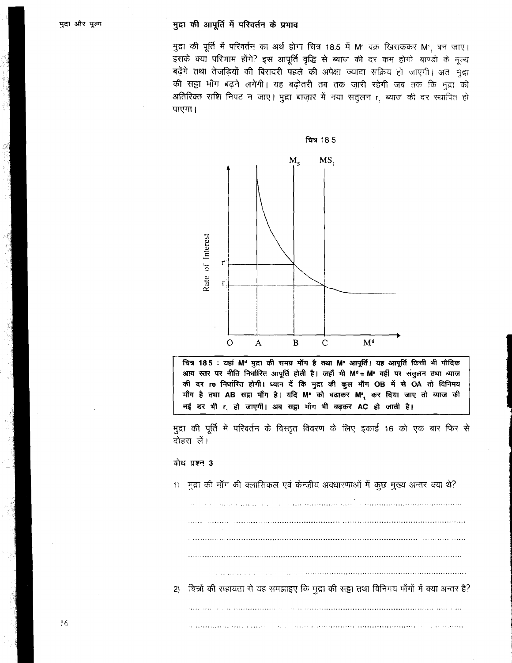मुद्रा की पूर्ति में परिवर्तन का अर्थ होगा चित्र 18.5 में M<sup>s</sup> वक्र खिसककर M<sup>s</sup>, बन जाए। इसके क्या परिणाम होंगे? इस आपूर्ति वृद्धि से ब्याज की दर कम होगी बाण्डो के मूल्य बढ़ेंगे तथा तेजड़ियों की बिरादरी पहले की अपेक्षा ज्यादा सक्रिय हो जाएगी। अतः मुद्रा की सट्टा माँग बढ़ने लगेगी। यह बढ़ोतरी तब तक जारी रहेगी जब तक कि मुद्रा की अतिरिक्त राशि निपट न जाए। मुद्रा बाज़ार में नया संतुलन r ब्याज की दर स्थापित हो पाएगा।



चित्र 185 : यहाँ M<sup>d</sup> मुद्रा की समग्र माँग है तथा M<sup>s</sup> आपूर्ति। यह आपूर्ति किसी भी मौदिक आय स्तर पर नीति निर्धारित आपूर्ति होती है। जहाँ भी Md = Ms वहीं पर संतुलन तथा ब्याज की दर re निर्धारित होगी। ध्यान दें कि मुद्रा की कुल माँग OB में से OA तो विनिमय माँग है तथा AB सट्टा माँग है। यदि M<sup>8</sup> को बढ़ाकर M<sup>9</sup>, कर दिया जाए तो ब्याज की नई दर भी r, हो जाएगी। अब सट्टा माँग भी बढ़कर AC हो जाती है।

मुद्रा की पूर्ति में परिवर्तन के विस्तृत विवरण के लिए इकाई 16 को एक बार फिर से दोहरा लें।

## बोध प्रश्न 3

1) मुद्रा की माँग की क्लासिकल एवं केन्ज़ीय अवधारणाओं में कुछ मुख्य अन्तर क्या थे? 2) चित्रों की सहायता से यह समझाइए कि मुद्रा की सट्टा तथा विनिमय माँगों में क्या अन्तर है?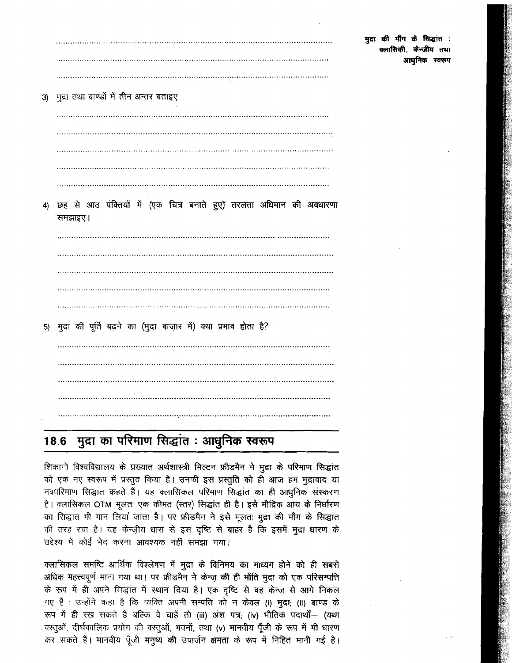3) मुद्रा तथा बाण्डों में तीन अन्तर बताइए छह से आठ पंक्तियों में (एक चित्र बनाते हुए)' तरलता अधिमान की अवधारणा  $\blacktriangleleft$ 

5) मुद्रा की पूर्ति बढ़ने का (मुद्रा बाज़ार में) क्या प्रभाव होता है?

समझाइए।

### मुद्रा का परिमाण सिद्धांत : आधुनिक स्वरूप 18.6

शिकागो विश्वविद्यालय के प्रख्यात अर्थशास्त्री मिल्टन फ्रीडमैन ने मुद्रा के परिमाण सिद्धांत को एक नए स्वरूप में प्रस्तुत किया है। उनकी इस प्रस्तुति को ही आज हम मुद्रावाद या नवपरिमाण सिद्धांत कहते हैं। यह क्लासिकल परिमाण सिद्धांत का ही आधुनिक संस्करण है। क्लासिकल QTM मूलतः एक कीमत (स्तर) सिद्धांत ही है। इसे मौद्रिक आय के निर्धारण का सिद्धांत भी मान लियां जाता है। पर फ्रीडमैन ने इसे मूलतः मुद्रा की माँग के सिद्धांत की तरह रचा है। यह केन्ज़ीय धारा से इस दृष्टि से बाहर है कि इसमें मुद्रा धारण के उद्देश्य में कोई भेद करना आवश्यक नहीं समझा गया।

क्लासिकल समष्टि आर्थिक विश्लेषण में मुद्रा के विनिमय का माध्यम होने को ही सबसे अधिक महत्त्वपूर्ण माना गया था। पर फ्रीडमैन ने केन्ज़ की ही भाँति मुद्रा को एक परिसम्पत्ति के रूप में ही अपने सिद्धांत में स्थान दिया है। एक दृष्टि से वह केन्ज़ से आगे निकल गए हैं : उन्होंने कहा है कि व्यक्ति अपनी सम्पत्ति को न केवल (i) मुद्रा; (ii) बाण्ड के रूप में ही रख सकते हैं बल्कि वे चाहें तो (iii) अंश पत्र; (iv) भौतिक पदार्थों - (यथा . वस्तुओं, दीर्घकालिक प्रयोग की वस्तुओं, भवनों, तथा (v) मानवीय पूँजी के रूप में भी धारण कर सकते हैं। मानवीय पूँजी मनुष्य की उपार्जन क्षमता के रूप में निहित मानी गई है।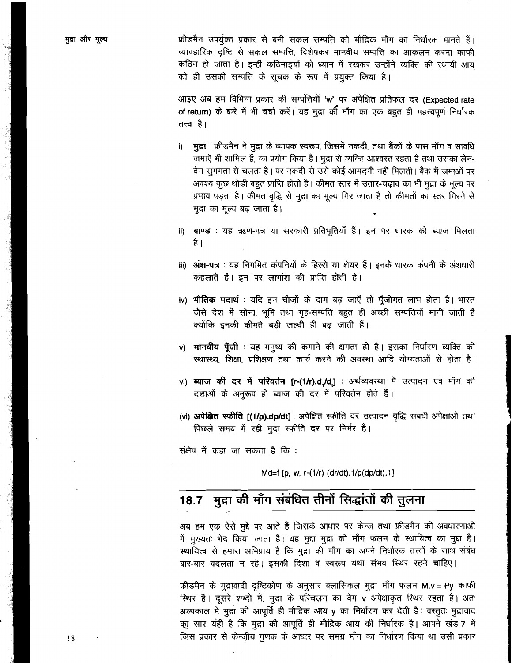फ्रीडमैन उपर्युक्त प्रकार से बनी सकल सम्पत्ति को मौद्रिक माँग का निर्धारक मानते हैं। व्यावहारिक दृष्टि से सकल सम्पत्ति, विशेषकर मानवीय सम्पत्ति का आकलन करना काफी कठिन हो जाता है। इन्हीं कठिनाइयों को ध्यान में रखकर उन्होंने व्यक्ति की स्थायी आय को ही उसकी सम्पत्ति के सूचक के रूप में प्रयुक्त किया है।

आइए अब हम विभिन्न प्रकार की सम्पत्तियों 'w' पर अपेक्षित प्रतिफल दर (Expected rate of return) के बारे में भी चर्चा करें। यह मुद्रा की माँग का एक बहुत ही महत्त्वपूर्ण निर्धारक तत्त्व है।

- मुद्रा : फ्रीडमैन ने मुद्रा के व्यापक स्वरूप, जिसमें नकदी, तथा बैंकों के पास माँग व सावधि i) जमाएँ भी शामिल हैं, का प्रयोग किया है। मुद्रा से व्यक्ति आश्वस्त रहता है तथा उसका लेन-देन सुगमता से चलता है। पर नकदी से उसे कोई आमदनी नहीं मिलती। बैंक में जमाओं पर अवश्य कुछ थोड़ी बहुत प्राप्ति होती है। कीमत स्तर में उतार-चढ़ाव का भी मुद्रा के मूल्य पर प्रभाव पड़ता है। कीमत वृद्धि से मुद्रा का मूल्य गिर जाता है तो कीमतों का स्तर गिरने से मुद्रा का मुल्य बढ जाता है।
- ii) बाण्ड : यह ऋण-पत्र या सरकारी प्रतिभूतियाँ हैं। इन पर धारक को ब्याज मिलता है ।
- iii) अंश-पत्र : यह निगमित कंपनियों के हिस्से या शेयर हैं। इनके धारक कंपनी के अंशधारी कहलाते हैं। इन पर लाभांश की प्राप्ति होती है।
- iv) **भौतिक पदार्थ**: यदि इन चीज़ों के दाम बढ़ जाएँ तो पूँजीगत लाभ होता है। भारत जैसे देश में सोना, भूमि तथा गृह-सम्पत्ति बहुत ही अच्छी सम्पत्तियाँ मानी जाती हैं क्योंकि इनकी कीमतें बड़ी जल्दी ही बढ जाती हैं।
- v) मानवीय पूँजी : यह मनुष्य की कमाने की क्षमता ही है। इसका निर्धारण व्यक्ति की स्थास्थ्य. शिक्षा, प्रशिक्षण तथा कार्य करने की अवस्था आदि योग्यताओं से होता है।
- vi) ब्याज की दर में परिवर्तन [r-(1/r).d,/d,] : अर्थव्यवस्था में उत्पादन एवं माँग की दशाओं के अनुरूप ही ब्याज की दर में परिवर्तन होते हैं।
- (vi) अपेक्षित स्फीति [(1/p).dp/dt]: अपेक्षित स्फीति दर उत्पादन वृद्धि संबंधी अपेक्षाओं तथा पिछले समय में रही मुद्रा स्फीति दर पर निर्भर है।

संक्षेप में कहा जा सकता है कि :

Md=f [p, w, r-(1/r) (dr/dt), 1/p(dp/dt), 1]

### मुद्रा की माँग संबंधित तीनों सिद्धांतों की तुलना  $18.7$

अब हम एक ऐसे मुद्दे पर आते हैं जिसके आधार पर केन्ज़ तथा फ्रीडमैन की अवधारणाओं में मुख्यतः भेद किया जाता है। यह मुद्दा मुद्रा की माँग फलन के स्थायित्व का मुद्दा है। स्थायित्व से हमारा अभिप्राय है कि मुद्रा की माँग का अपने निर्धारक तत्त्वों के साथ संबंध बार-बार बदलता न रहे। इसकी दिशा व स्वरूप यथा संभव स्थिर रहने चाहिए।

फ्रीडमैन के मुद्रावादी दृष्टिकोण के अनुसार क्लासिकल मुद्रा माँग फलन M.v = Py काफी स्थिर हैं। दूसरे शब्दों में, मुद्रा के परिचलन का वेग v अपेक्षाकृत स्थिर रहता है। अतः अल्पकाल में मुद्रा की आपूर्ति ही मौद्रिक आय y का निर्धारण कर देती है। वस्तुतः मुद्रावाद का सार यही है कि मुद्रा की आपूर्ति ही मौद्रिक आय की निर्धारक है। आपने खंड 7 में जिस प्रकार से केन्जीय गुणक के आधार पर समग्र माँग का निर्धारण किया था उसी प्रकार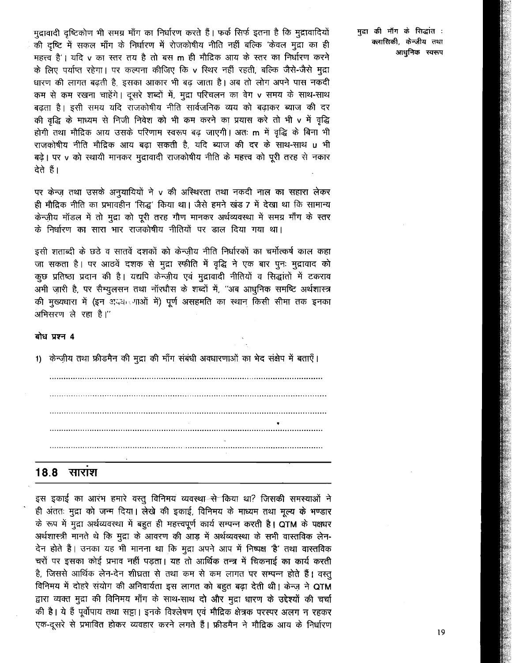मुद्रावादी दृष्टिकोण भी समग्र माँग का निर्धारण करते हैं। फर्क सिर्फ इतना है कि मुद्रावादियों की दृष्टि में सकल माँग के निर्धारण में रोजकोषीय नीति नहीं बल्कि 'केवल मुद्रा का ही महत्त्व है'। यदि v का स्तर तय है तो बस m ही मौद्रिक आय के स्तर का निर्धारण करने के लिए पर्याप्त रहेगा। पर कल्पना कीजिए कि v स्थिर नहीं रहती, बल्कि जैसे-जैसे मुद्रा धारण की लागत बढती है, इसका आकार भी बढ जाता है। अब तो लोग अपने पास नकदी कम से कम रखना चाहेंगे। दूसरे शब्दों में, मुद्रा परिचलन का वेग v समय के साथ-साथ बढ़ता है। इसी समय यदि राजकोषीय नीति सार्वजनिक व्यय को बढ़ाकर ब्याज की दर की वृद्धि के माध्यम से निजी निवेश को भी कम करने का प्रयास करे तो भी v में वृद्धि होगी तथा मौद्रिक आय उसके परिणाम स्वरूप बढ़ जाएगी। अतः m में वृद्धि के बिना भी राजकोषीय नीति मौद्रिक आय बढा सकती है, यदि ब्याज की दर के साथ-साथ u भी बढ़े। पर v को स्थायी मानकर मुद्रावादी राजकोषीय नीति के महत्त्व को पूरी तरह से नकार ਰੇਰੇ ਵੈ।

पर केन्ज़ तथा उसके अनुयायियों ने v की अस्थिरता तथा नकदी नाल का सहारा लेकर ही मौद्रिक नीति का प्रभावहीन 'सिद्ध' किया था। जैसे हमने खंड 7 में देखा था कि सामान्य केन्ज़ीय मॉडल में तो मुद्रा को पूरी तरह गौण मानकर अर्थव्यवस्था में समग्र माँग के स्तर के निर्धारण का सारा भार राजकोषीय नीतियों पर डाल दिया गया था।

इसी शताब्दी के छठे व सातवें दशकों को केन्जीय नीति निर्धारकों का चर्मोत्कर्ष काल कहा जा सकता है। पर आठवें दशक से मुद्रा स्फीति में वृद्धि ने एक बार पूनः मुद्रावाद को कुछ प्रतिष्ठा प्रदान की है। यद्यपि केन्ज़ीय एवं मुद्रावादी नीतियों व सिद्धांतों में टकराव .<br>अभी जारी है, पर सैम्युलसन तथा नॉरधौस के शब्दों में, ''अब आधुनिक समष्टि अर्थशास्त्र की मुख्यधारा में (इन अद्यादशाओं में) पूर्ण असहमति का स्थान किसी सीमा तक इनका अभिसरण ले रहा है।"

# बोध प्रश्न 4

1) केन्ज़ीय तथा फ्रीडमैन की मुद्रा की माँग संबंधी अवधारणाओं का भेद संक्षेप में बताएँ।



### 18.8 सारांश

इस इकाई का आरंभ हमारे वस्तु विनिमय व्यवस्था-से किया था? जिसकी समस्याओं ने ही अंततः मुद्रा को जन्म दिया। लेखे की इकाई, विनिमय के माध्यम तथा मूल्य के भण्डार के रूप में मुद्रा अर्थव्यवस्था में बहुत ही महत्त्वपूर्ण कार्य सम्पन्न करती है। QTM के पक्षधर अर्थशास्त्री मानते थे कि मुद्रा के आवरण की आड़ में अर्थव्यवस्था के सभी वास्तविक लेन-देन होते हैं। उनका यह भी मानना था कि मुद्रा अपने आप में निष्पक्ष 'है' तथा वास्तविक चरों पर इसका कोई प्रभाव नहीं पड़ता। यह तो आर्थिक तन्त्र में चिकनाई का कार्य करती है, जिससे आर्थिक लेन-देन शीघ्रता से तथा कम से कम लागत पर सम्पन्न होते हैं। वस्तु विनिमय में दोहरे संयोग की अनिवार्यता इस लागत को बहुत बढ़ा देती थी। केन्ज़ ने QTM द्वारा व्यक्त मुद्रा की विनिमय माँग के साथ-साथ दो और मुद्रा धारण के उद्देश्यों की चर्चा की है। ये हैं पूर्वोपाय तथा सट्टा। इनके विश्लेषण एवं मौद्रिक क्षेत्रक परस्पर अलग न रहकर एक-दूसरे से प्रभावित होकर व्यवहार करने लगते हैं। फ्रीडमैन ने मौद्रिक आय के निर्धारण

मदा की माँग के सिद्धांत : क्लासिकी, केन्जीय तथा आधुनिक स्वरूप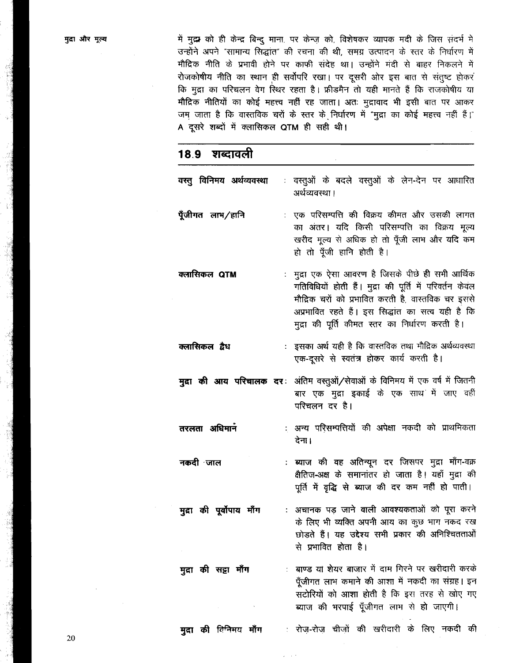में मुद्र को ही केन्द्र बिन्दु माना, पर केन्ज़ को, विशेषकर व्यापक मदी के जिस सदर्भ मे उन्होंने अपने "सामान्य सिद्धांत" की रचना की थी, समग्र उत्पादन के स्तर के निर्धारण में मौदिक नीति के प्रभावी होने पर काफी संदेह था। उन्होंने मंदी से बाहर निकलने में रोजकोषीय नीति का स्थान ही सर्वोपरि रखा। पर दूसरी ओर इस बात से संतुष्ट होकर कि मुद्रा का परिचलन वेग स्थिर रहता है। फ्रीडमैन तो यही मानते हैं कि राजकोषीय या मौद्रिक नीतियों का कोई महत्त्व नहीं रह जाता। अतः मुद्रावाद भी इसी बात पर आकर जम जाता है कि वास्तविक चरों के स्तर के निर्धारण में "मुद्रा का कोई महत्त्व नहीं हैं।" A दूसरे शब्दों में क्लासिकल QTM ही सही थी।

# शब्दावली 18.9 वरत् विनिमय अर्थव्यवस्था : वस्तुओं के बदले वस्तुओं के लेन-देन पर आधारित अर्थव्यवस्था । पूँजीगत लाभ/हानि : एक परिसम्पत्ति की विक्रय कीमत और उसकी लागत का अंतर। यदि किसी परिसम्पत्ति का विक्रय मूल्य खरीद मूल्य से अधिक हो तो पूँजी लाभ और यदि कम हो तो पूँजी हानि होती है। : मुद्रा एक ऐसा आवरण है जिसके पीछे ही सभी आर्थिक क्लासिकल QTM गतिविधियों होती हैं। मुद्रा की पूर्ति में परिवर्तन केवल मौद्रिक चरों को प्रभावित करती है, वास्तविक चर इससे अप्रभावित रहते हैं। इस सिद्धांत का सत्व यही है कि मुद्रा की पूर्ति कीमत स्तर का निर्धारण करती है। क्लासिकल द्वैध : इसका अर्थ यही है कि वास्तविक तथा मौद्रिक अर्थव्यवस्था एक-दूसरे से स्वतंत्र होकर कार्य करती है। **मृदा की आय परिचालक दर**: अंतिम वस्तुओं/सेवाओं के विनिमय में एक वर्ष में जितनी बार एक मुद्रा इकाई के एक साथ में जाए वहीं परिचलन दर है। तरलता अधिमान : अन्य परिसम्पत्तियों की अपेक्षा नकदी को प्राथमिकता देना। नकदी ∙जाल : ब्याज की वह अतिन्यून दर जिसपर मुद्रा माँग-वक्र क्षैतिज-अक्ष के समानांतर हो जाता है। यहाँ मुद्रा की पूर्ति में वृद्धि से ब्याज की दर कम नहीं हो पाती। : अचानक पड़ जाने वाली आवश्यकताओं को पूरा करने मुद्रा की पूर्वोपाय माँग के लिए भी व्यक्ति अपनी आय का कुछ भाग नकद रख छोड़ते हैं। यह उद्देश्य सभी प्रकार की अनिश्चितताओं से प्रभावित होता है। : बाण्ड यां शेयर बाजार में दाम गिरने पर खरीदारी करके मुद्रा की सट्टा माँग पूँजीगत लाभ कमाने की आशा में नकदी का संग्रह। इन सटोरियों को आशा होती है कि इस तरह से खोए गए ब्याज की भरपाई पूँजीगत लाभ से हो जाएगी।

मुद्रा की विनिमय माँग : रोज-रोज चीजों की खरीदारी के लिए नकदी की

20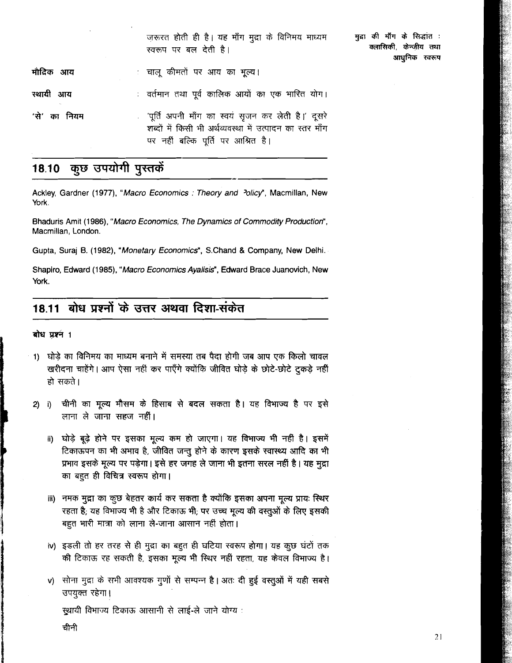|              | ज़रूरत होती ही है। यह माँग मुद्रा के विनिमय माध्यम<br>स्वरूप पर बल देती है।                                                                            | मुद्रा की माँग के सिद्धांत :<br>क्लासिकी, केन्ज़ीय तथा<br>आधुनिक स्वरूप |
|--------------|--------------------------------------------------------------------------------------------------------------------------------------------------------|-------------------------------------------------------------------------|
| मौदिक आय     | ः चालू कीमतों पर आय का मूल्य।                                                                                                                          |                                                                         |
| रथायी आय     | ं वर्तमान तथा पूर्व कालिक आयों का एक भारित योग।                                                                                                        |                                                                         |
| 'से' का नियम | ् 'पूर्ति अपनी माँग का स्वयं सृजन कर लेती है।' दूसरे<br>शब्दों में किसी भी अर्थव्यवस्था में उत्पादन का स्तर माँग<br>पर नहीं बल्कि पूर्ति पर आश्रित है। |                                                                         |

### कुछ उपयोगी पुस्तकें 18.10

Ackley, Gardner (1977), "Macro Economics : Theory and <sup>2</sup>olicy", Macmillan, New **York.** 

Bhaduris Amit (1986), "Macro Economics, The Dynamics of Commodity Production", **Macmillan, London.** 

**Gupta, Suraj 6.** (1982), "Monetary Economics", **S.Chand** & **Company, New Delhi.** 

**Shapiro, Edward** (1 985), "Macro Economics Ayalisis", **Edward Brace Juanovich, New York.** 

### बोध प्रश्नों के उत्तर अथवा दिशा-संकेत 18.11

# बोध प्रश्नं 1

- 1) घोड़े का विनिमय का माध्यम बनाने में समस्या तब पैदा होगी जब आप एक किलो चावल खरीदना चाहेंगे। आप ऐसा नहीं कर पाएँगे क्योंकि जीवित घोड़े के छोटे-छोटे टुकड़े नहीं हो सकते।
- चीनी का मूल्य मौसम के हिसाब से बदल सकता है। यह विभाज्य है पर इसे  $2)$  $\vert$  i) लाना ले जाना सहज नहीं।
	- घोड़े बूढ़े होने पर इसका मूल्य कम हो जाएगा। यह विभाज्य भी नहीं है। इसमें ii) टिकाऊपन का भी अभाव है, जीवित जन्तु होने के कारण इसके स्वास्थ्य आदि का भी प्रभाव इसके मूल्य पर पड़ेगा। इसे हर जगह ले जाना भी इतना सरल नहीं है। यह मुद्रा का बहुत ही विचित्र स्वरूप होगा।
	- iii) नमक मुद्रा का कूछ बेहतर कार्य कर सकता है क्योंकि इसका अपना मूल्य प्रायः स्थिर रहता है; यह विभाज्य भी है और टिकाऊ भी; पर उच्च मूल्य की वस्तुओं के लिए इसकी बहुत भारी मात्रा को लाना ले-जाना आसान नहीं होता।
	- iv) इडली तो हर तरह से ही मुद्रा का बहुत ही घटिया स्वरूप होगा। यह कुछ घंटों तक की टिकाऊ रह सकती है, इसका मूल्य भी स्थिर नहीं रहता, यह केवल विभाज्य है।
	- v) सोना मुद्रा के सभी आवश्यक गुणों से सम्पन्न है। अतः दी हुई वस्तुओं में यही सबसे उपयुक्त रहेगा।

स्थायी विभाज्य टिकाऊ आसानी से लाई-ले जाने योग्य :

चीनी